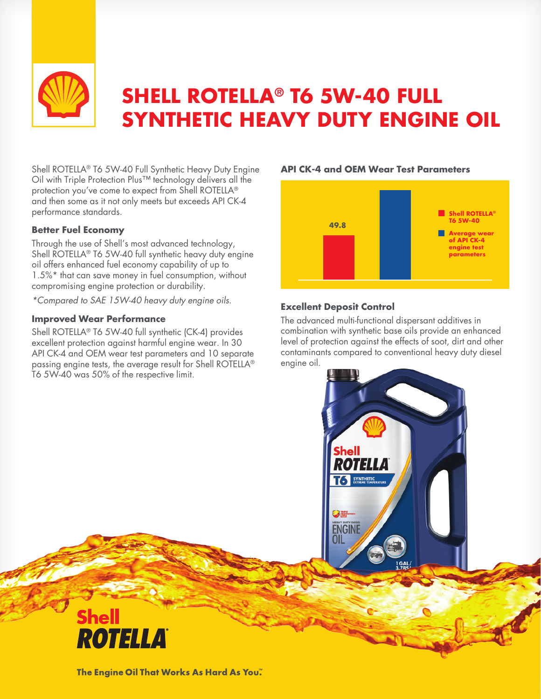

# **SHELL ROTELLA® T6 5W-40 FULL SYNTHETIC HEAVY DUTY ENGINE OIL**

Shell ROTELLA® T6 5W-40 Full Synthetic Heavy Duty Engine Oil with Triple Protection Plus™ technology delivers all the protection you've come to expect from Shell ROTELLA® and then some as it not only meets but exceeds API CK-4 performance standards.

#### **Better Fuel Economy**

Through the use of Shell's most advanced technology, Shell ROTELLA® T6 5W-40 full synthetic heavy duty engine oil offers enhanced fuel economy capability of up to 1.5%\* that can save money in fuel consumption, without compromising engine protection or durability.

*\*Compared to SAE 15W-40 heavy duty engine oils.*

#### **Improved Wear Performance**

**Shell** 

**ROTELLA** 

Shell ROTELLA® T6 5W-40 full synthetic (CK-4) provides excellent protection against harmful engine wear. In 30 API CK-4 and OEM wear test parameters and 10 separate passing engine tests, the average result for Shell ROTELLA® T6 5W-40 was 50% of the respective limit.

## **n** Shell ROTELLA® **T6 5W-40 49.8 example 2 Average wear**<br> **of API CK-4 engine test parameters**

**API CK-4 and OEM Wear Test Parameters**

### **Excellent Deposit Control**

The advanced multi-functional dispersant additives in combination with synthetic base oils provide an enhanced level of protection against the effects of soot, dirt and other contaminants compared to conventional heavy duty diesel engine oil.